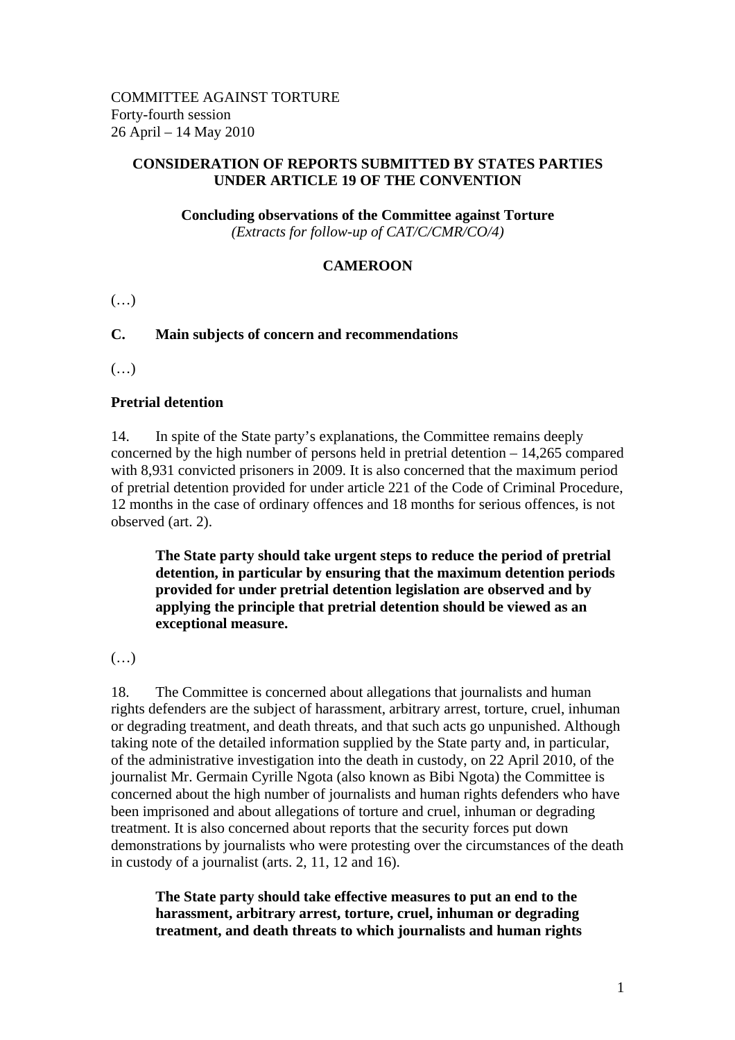#### **CONSIDERATION OF REPORTS SUBMITTED BY STATES PARTIES UNDER ARTICLE 19 OF THE CONVENTION**

#### **Concluding observations of the Committee against Torture**  *(Extracts for follow-up of CAT/C/CMR/CO/4)*

## **CAMEROON**

 $(\ldots)$ 

### **C. Main subjects of concern and recommendations**

 $(\ldots)$ 

#### **Pretrial detention**

14. In spite of the State party's explanations, the Committee remains deeply concerned by the high number of persons held in pretrial detention – 14,265 compared with 8,931 convicted prisoners in 2009. It is also concerned that the maximum period of pretrial detention provided for under article 221 of the Code of Criminal Procedure, 12 months in the case of ordinary offences and 18 months for serious offences, is not observed (art. 2).

**The State party should take urgent steps to reduce the period of pretrial detention, in particular by ensuring that the maximum detention periods provided for under pretrial detention legislation are observed and by applying the principle that pretrial detention should be viewed as an exceptional measure.** 

(…)

18. The Committee is concerned about allegations that journalists and human rights defenders are the subject of harassment, arbitrary arrest, torture, cruel, inhuman or degrading treatment, and death threats, and that such acts go unpunished. Although taking note of the detailed information supplied by the State party and, in particular, of the administrative investigation into the death in custody, on 22 April 2010, of the journalist Mr. Germain Cyrille Ngota (also known as Bibi Ngota) the Committee is concerned about the high number of journalists and human rights defenders who have been imprisoned and about allegations of torture and cruel, inhuman or degrading treatment. It is also concerned about reports that the security forces put down demonstrations by journalists who were protesting over the circumstances of the death in custody of a journalist (arts. 2, 11, 12 and 16).

**The State party should take effective measures to put an end to the harassment, arbitrary arrest, torture, cruel, inhuman or degrading treatment, and death threats to which journalists and human rights**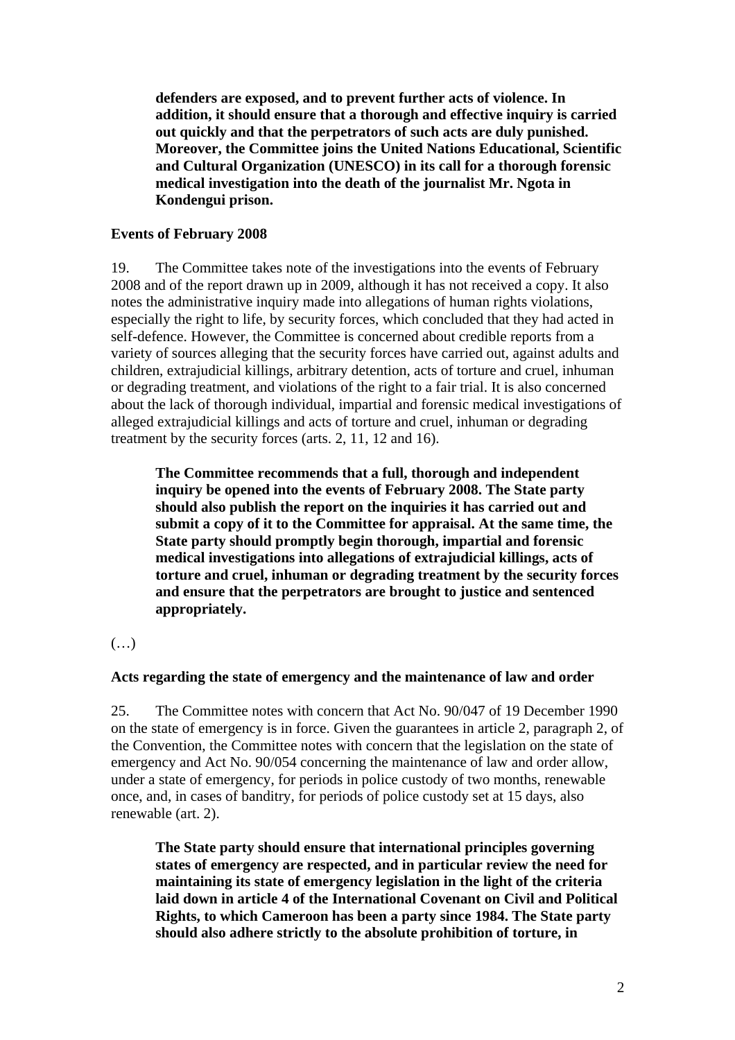**defenders are exposed, and to prevent further acts of violence. In addition, it should ensure that a thorough and effective inquiry is carried out quickly and that the perpetrators of such acts are duly punished. Moreover, the Committee joins the United Nations Educational, Scientific and Cultural Organization (UNESCO) in its call for a thorough forensic medical investigation into the death of the journalist Mr. Ngota in Kondengui prison.** 

#### **Events of February 2008**

19. The Committee takes note of the investigations into the events of February 2008 and of the report drawn up in 2009, although it has not received a copy. It also notes the administrative inquiry made into allegations of human rights violations, especially the right to life, by security forces, which concluded that they had acted in self-defence. However, the Committee is concerned about credible reports from a variety of sources alleging that the security forces have carried out, against adults and children, extrajudicial killings, arbitrary detention, acts of torture and cruel, inhuman or degrading treatment, and violations of the right to a fair trial. It is also concerned about the lack of thorough individual, impartial and forensic medical investigations of alleged extrajudicial killings and acts of torture and cruel, inhuman or degrading treatment by the security forces (arts. 2, 11, 12 and 16).

**The Committee recommends that a full, thorough and independent inquiry be opened into the events of February 2008. The State party should also publish the report on the inquiries it has carried out and submit a copy of it to the Committee for appraisal. At the same time, the State party should promptly begin thorough, impartial and forensic medical investigations into allegations of extrajudicial killings, acts of torture and cruel, inhuman or degrading treatment by the security forces and ensure that the perpetrators are brought to justice and sentenced appropriately.** 

# (…)

# **Acts regarding the state of emergency and the maintenance of law and order**

25. The Committee notes with concern that Act No. 90/047 of 19 December 1990 on the state of emergency is in force. Given the guarantees in article 2, paragraph 2, of the Convention, the Committee notes with concern that the legislation on the state of emergency and Act No. 90/054 concerning the maintenance of law and order allow, under a state of emergency, for periods in police custody of two months, renewable once, and, in cases of banditry, for periods of police custody set at 15 days, also renewable (art. 2).

**The State party should ensure that international principles governing states of emergency are respected, and in particular review the need for maintaining its state of emergency legislation in the light of the criteria laid down in article 4 of the International Covenant on Civil and Political Rights, to which Cameroon has been a party since 1984. The State party should also adhere strictly to the absolute prohibition of torture, in**